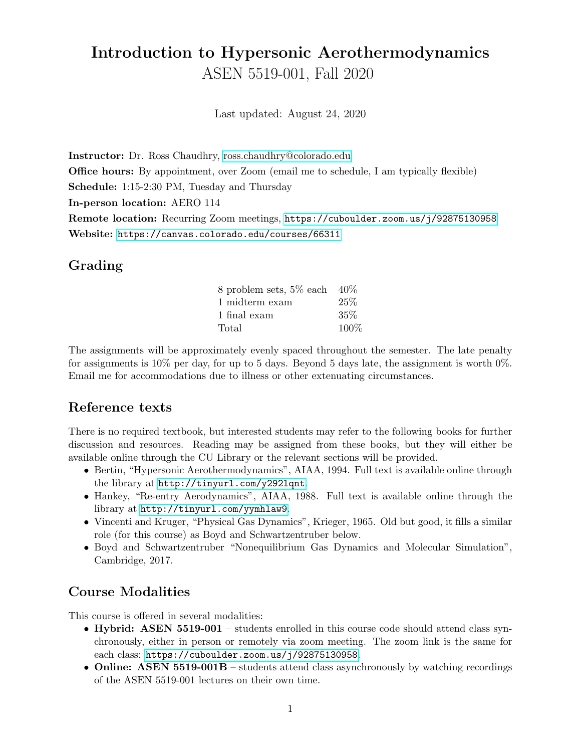# Introduction to Hypersonic Aerothermodynamics ASEN 5519-001, Fall 2020

Last updated: August 24, 2020

Instructor: Dr. Ross Chaudhry, [ross.chaudhry@colorado.edu](mailto:ross.chaudhry@colorado.edu)

Office hours: By appointment, over Zoom (email me to schedule, I am typically flexible)

Schedule: 1:15-2:30 PM, Tuesday and Thursday

In-person location: AERO 114

Remote location: Recurring Zoom meetings, <https://cuboulder.zoom.us/j/92875130958> Website: <https://canvas.colorado.edu/courses/66311>

#### Grading

| 8 problem sets, $5\%$ each $40\%$ |      |
|-----------------------------------|------|
| 1 midterm exam                    | 25%  |
| 1 final exam                      | 35%  |
| Total                             | 100% |

The assignments will be approximately evenly spaced throughout the semester. The late penalty for assignments is  $10\%$  per day, for up to 5 days. Beyond 5 days late, the assignment is worth  $0\%$ . Email me for accommodations due to illness or other extenuating circumstances.

#### Reference texts

There is no required textbook, but interested students may refer to the following books for further discussion and resources. Reading may be assigned from these books, but they will either be available online through the CU Library or the relevant sections will be provided.

- Bertin, "Hypersonic Aerothermodynamics", AIAA, 1994. Full text is available online through the library at <http://tinyurl.com/y292lqnt>.
- Hankey, "Re-entry Aerodynamics", AIAA, 1988. Full text is available online through the library at <http://tinyurl.com/yymhlaw9>.
- Vincenti and Kruger, "Physical Gas Dynamics", Krieger, 1965. Old but good, it fills a similar role (for this course) as Boyd and Schwartzentruber below.
- Boyd and Schwartzentruber "Nonequilibrium Gas Dynamics and Molecular Simulation", Cambridge, 2017.

### Course Modalities

This course is offered in several modalities:

- Hybrid: ASEN 5519-001 students enrolled in this course code should attend class synchronously, either in person or remotely via zoom meeting. The zoom link is the same for each class: <https://cuboulder.zoom.us/j/92875130958>.
- Online: ASEN 5519-001B students attend class asynchronously by watching recordings of the ASEN 5519-001 lectures on their own time.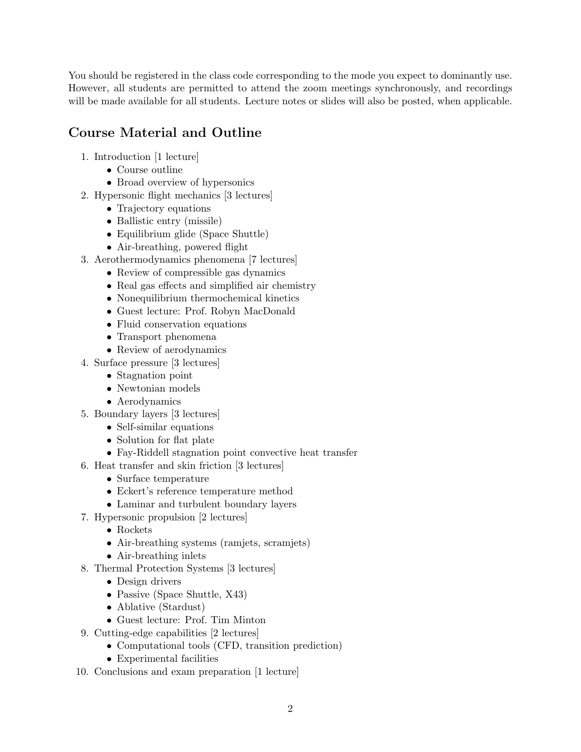You should be registered in the class code corresponding to the mode you expect to dominantly use. However, all students are permitted to attend the zoom meetings synchronously, and recordings will be made available for all students. Lecture notes or slides will also be posted, when applicable.

# Course Material and Outline

- 1. Introduction [1 lecture]
	- Course outline
	- Broad overview of hypersonics
- 2. Hypersonic flight mechanics [3 lectures]
	- Trajectory equations
	- Ballistic entry (missile)
	- Equilibrium glide (Space Shuttle)
	- Air-breathing, powered flight
- 3. Aerothermodynamics phenomena [7 lectures]
	- Review of compressible gas dynamics
	- Real gas effects and simplified air chemistry
	- Nonequilibrium thermochemical kinetics
	- Guest lecture: Prof. Robyn MacDonald
	- Fluid conservation equations
	- Transport phenomena
	- Review of aerodynamics
- 4. Surface pressure [3 lectures]
	- Stagnation point
	- Newtonian models
	- Aerodynamics
- 5. Boundary layers [3 lectures]
	- Self-similar equations
	- Solution for flat plate
	- Fay-Riddell stagnation point convective heat transfer
- 6. Heat transfer and skin friction [3 lectures]
	- Surface temperature
	- Eckert's reference temperature method
	- Laminar and turbulent boundary layers
- 7. Hypersonic propulsion [2 lectures]
	- Rockets
	- Air-breathing systems (ramjets, scramjets)
	- Air-breathing inlets
- 8. Thermal Protection Systems [3 lectures]
	- Design drivers
	- Passive (Space Shuttle, X43)
	- Ablative (Stardust)
	- Guest lecture: Prof. Tim Minton
- 9. Cutting-edge capabilities [2 lectures]
	- Computational tools (CFD, transition prediction)
	- Experimental facilities
- 10. Conclusions and exam preparation [1 lecture]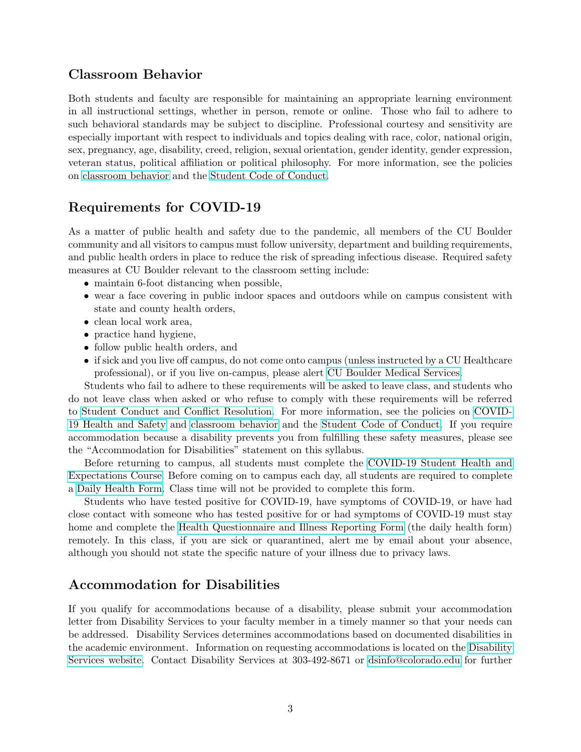#### Classroom Behavior

Both students and faculty are responsible for maintaining an appropriate learning environment in all instructional settings, whether in person, remote or online. Those who fail to adhere to such behavioral standards may be subject to discipline. Professional courtesy and sensitivity are especially important with respect to individuals and topics dealing with race, color, national origin, sex, pregnancy, age, disability, creed, religion, sexual orientation, gender identity, gender expression, veteran status, political affiliation or political philosophy. For more information, see the policies on [classroom behavior](http://www.colorado.edu/policies/student-classroom-and-course-related-behavior) and the [Student Code of Conduct.](https://www.colorado.edu/sccr/sites/default/files/attached-files/2020-2021_student_code_of_conduct_0.pdf)

#### Requirements for COVID-19

As a matter of public health and safety due to the pandemic, all members of the CU Boulder community and all visitors to campus must follow university, department and building requirements, and public health orders in place to reduce the risk of spreading infectious disease. Required safety measures at CU Boulder relevant to the classroom setting include:

- maintain 6-foot distancing when possible,
- wear a face covering in public indoor spaces and outdoors while on campus consistent with state and county health orders,
- clean local work area,
- practice hand hygiene,
- follow public health orders, and
- if sick and you live off campus, do not come onto campus (unless instructed by a CU Healthcare professional), or if you live on-campus, please alert [CU Boulder Medical Services.](https://www.colorado.edu/healthcenter/coronavirus-updates/symptoms-and-what-do-if-you-feel-sick)

Students who fail to adhere to these requirements will be asked to leave class, and students who do not leave class when asked or who refuse to comply with these requirements will be referred to [Student Conduct and Conflict Resolution.](https://www.colorado.edu/sccr/) For more information, see the policies on [COVID-](https://www.colorado.edu/policies/covid-19-health-and-safety-policy)[19 Health and Safety](https://www.colorado.edu/policies/covid-19-health-and-safety-policy) and [classroom behavior](http://www.colorado.edu/policies/student-classroom-and-course-related-behavior) and the [Student Code of Conduct.](https://www.colorado.edu/sccr/sites/default/files/attached-files/2020-2021_student_code_of_conduct_0.pdf) If you require accommodation because a disability prevents you from fulfilling these safety measures, please see the "Accommodation for Disabilities" statement on this syllabus.

Before returning to campus, all students must complete the [COVID-19 Student Health and](https://www.colorado.edu/protect-our-herd/how#anchor1) [Expectations Course.](https://www.colorado.edu/protect-our-herd/how#anchor1) Before coming on to campus each day, all students are required to complete a [Daily Health Form.](https://www.colorado.edu/protect-our-herd/daily-health-form) Class time will not be provided to complete this form.

Students who have tested positive for COVID-19, have symptoms of COVID-19, or have had close contact with someone who has tested positive for or had symptoms of COVID-19 must stay home and complete the [Health Questionnaire and Illness Reporting Form](https://www.colorado.edu/protect-our-herd/daily-health-form) (the daily health form) remotely. In this class, if you are sick or quarantined, alert me by email about your absence, although you should not state the specific nature of your illness due to privacy laws.

#### Accommodation for Disabilities

If you qualify for accommodations because of a disability, please submit your accommodation letter from Disability Services to your faculty member in a timely manner so that your needs can be addressed. Disability Services determines accommodations based on documented disabilities in the academic environment. Information on requesting accommodations is located on the [Disability](https://www.colorado.edu/disabilityservices/) [Services website.](https://www.colorado.edu/disabilityservices/) Contact Disability Services at 303-492-8671 or [dsinfo@colorado.edu](mailto:dsinfo@colorado.edu) for further